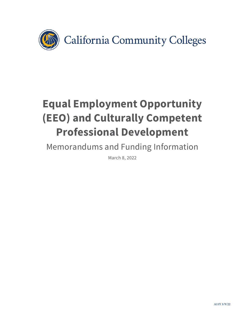

# **Equal Employment Opportunity (EEO) and Culturally Competent Professional Development**

Memorandums and Funding Information

March 8, 2022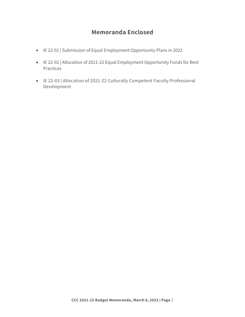# **Memoranda Enclosed**

- IE 22-01 | Submission of Equal Employment Opportunity Plans in 2022
- IE 22-02 | Allocation of 2021-22 Equal Employment Opportunity Funds for Best Practices
- IE 22-03 | Allocation of 2021-22 Culturally Competent Faculty Professional Development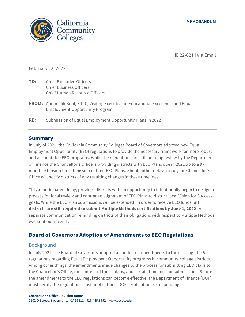

IE 22-021 | Via Email

February 22, 2022

- **TO:** Chief Executive Officers Chief Business Officers Chief Human Resource Officers
- **FROM:** Abdimalik Buul, Ed.D., Visiting Executive of Educational Excellence and Equal Employment Opportunity Program
- **RE:** Submission of Equal Employment Opportunity Plans in 2022

### **Summary**

In July of 2021, the California Community Colleges Board of Governors adopted new Equal Employment Opportunity (EEO) regulations to provide the necessary framework for more robust and accountable EEO programs. While the regulations are still pending review by the Department of Finance the Chancellor's Office is providing districts with EEO Plans due in 2022 up to a 9 month extension for submission of their EEO Plans. Should other delays occur, the Chancellor's Office will notify districts of any resulting changes in these timelines.

This unanticipated delay, provides districts with an opportunity to intentionally begin to design a process for local review and continued alignment of EEO Plans to district local Vision for Success goals. While the EEO Plan submissions will be extended, in order to receive EEO funds, **all districts are still required to submit Multiple Methods certifications by June 1, 2022**. A separate communication reminding districts of their obligations with respect to Multiple Methods was sent out recently.

## **Board of Governors Adoption of Amendments to EEO Regulations**

### Background

In July 2021, the Board of Governors adopted a number of amendments to the existing title 5 regulations regarding Equal Employment Opportunity programs in community college districts. Among other things, the amendments made changes to the process for submitting EEO plans to the Chancellor's Office, the content of those plans, and certain timelines for submissions. Before the amendments to the EEO regulations can become effective, the Department of Finance (DOF) must certify the regulations' cost implications. DOF certification is still pending.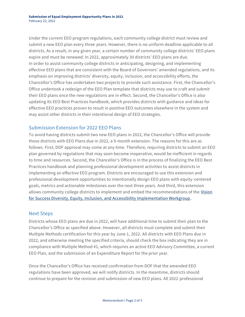Under the current EEO program regulations, each community college district must review and submit a new EEO plan every three years. However, there is no uniform deadline applicable to all districts. As a result, in any given year, a certain number of community college districts' EEO plans expire and must be renewed. In 2022, approximately 30 districts' EEO plans are due. In order to assist community college districts in anticipating, designing, and implementing effective EEO plans that are consistent with the Board of Governors' amended regulations, and its emphasis on improving districts' diversity, equity, inclusion, and accessibility efforts, the Chancellor's Office has undertaken two projects to provide such assistance. First, the Chancellor's Office undertook a redesign of the EEO Plan template that districts may use to craft and submit their EEO plans once the new regulations are in effect. Second, the Chancellor's Office is also updating its EEO Best Practices handbook, which provides districts with guidance and ideas for effective EEO practices proven to result in positive EEO outcomes elsewhere in the system and may assist other districts in their intentional design of EEO strategies.

## Submission Extension for 2022 EEO Plans

To avoid having districts submit two new EEO plans in 2022, the Chancellor's Office will provide those districts with EEO Plans due in 2022, a 9-month extension. The reasons for this are as follows. First, DOF approval may come at any time. Therefore, requiring districts to submit an EEO plan governed by regulations that may soon become inoperative, would be inefficient in regards to time and resources. Second, the Chancellor's Office is in the process of finalizing the EEO Best Practices handbook and planning professional development activities to assist districts in implementing an effective EEO program. Districts are encouraged to use this extension and professional development opportunities to intentionally design EEO plans with equity-centered goals, metrics and actionable milestones over the next three years. And third, this extension allows community college districts to implement and embed the recommendations of the Vision [for Success Diversity, Equity, Inclusion, and Accessibility Implementation Workgroup.](https://www.cccco.edu/About-Us/Vision-for-Success/diversity-equity-inclusion)

### Next Steps

Districts whose EEO plans are due in 2022, will have additional time to submit their plan to the Chancellor's Office as specified above. However, all districts must complete and submit their Multiple Methods certification for this year by June 1, 2022. All districts with EEO Plans due in 2022, and otherwise meeting the specified criteria, should check the box indicating they are in compliance with Multiple Method #1, which requires an active EEO Advisory Committee, a current EEO Plan, and the submission of an Expenditure Report for the prior year.

Once the Chancellor's Office has received confirmation from DOF that the amended EEO regulations have been approved, we will notify districts. In the meantime, districts should continue to prepare for the revision and submission of new EEO plans. All 2022 professional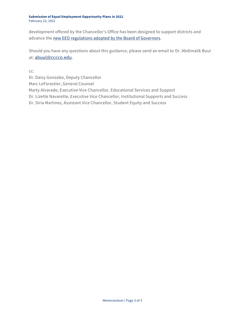#### **Submission of Equal Employment Opportunity Plans in 2022** February 22, 2022

development offered by the Chancellor's Office has been designed to support districts and advance the [new EEO regulations adopted by the Board of Governors.](https://www.cccco.edu/-/media/CCCCO-Website/Office-of-General-Counsel/15-day-eeo-text-regulation-final-a11y.pdf?la=en&hash=B8423F4D7AE9199D6DACDF32ECC2734EB79FF83E)

Should you have any questions about this guidance, please send an email to Dr. Abdimalik Buul at: [abuul@cccco.edu](mailto:abuul@cccco.edu).

cc:

Dr. Daisy Gonzales, Deputy Chancellor Marc LeForestier, General Counsel Marty Alvarado, Executive Vice Chancellor, Educational Services and Support Dr. Lizette Navarette, Executive Vice Chancellor, Institutional Supports and Success Dr. Siria Martinez, Assistant Vice Chancellor, Student Equity and Success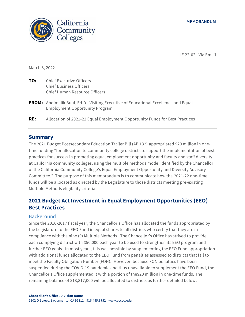



IE 22-02 | Via Email

March 8, 2022

- **TO:** Chief Executive Officers Chief Business Officers Chief Human Resource Officers
- **FROM:** Abdimalik Buul, Ed.D., Visiting Executive of Educational Excellence and Equal Employment Opportunity Program
- **RE:** Allocation of 2021-22 Equal Employment Opportunity Funds for Best Practices

#### **Summary**

The 2021 Budget Postsecondary Education Trailer Bill (AB 132) appropriated \$20 million in onetime funding "for allocation to community college districts to support the implementation of best practices for success in promoting equal employment opportunity and faculty and staff diversity at California community colleges, using the multiple methods model identified by the Chancellor of the California Community College's Equal Employment Opportunity and Diversity Advisory Committee." The purpose of this memorandum is to communicate how the 2021-22 one-time funds will be allocated as directed by the Legislature to those districts meeting pre-existing Multiple Methods eligibility criteria.

## **2021 Budget Act Investment in Equal Employment Opportunities (EEO) Best Practices**

#### Background

Since the 2016-2017 fiscal year, the Chancellor's Office has allocated the funds appropriated by the Legislature to the EEO Fund in equal shares to all districts who certify that they are in compliance with the nine (9) Multiple Methods. The Chancellor's Office has strived to provide each complying district with \$50,000 each year to be used to strengthen its EEO program and further EEO goals. In most years, this was possible by supplementing the EEO Fund appropriation with additional funds allocated to the EEO Fund from penalties assessed to districts that fail to meet the Faculty Obligation Number (FON). However, because FON penalties have been suspended during the COVID-19 pandemic and thus unavailable to supplement the EEO Fund, the Chancellor's Office supplemented it with a portion of the\$20 million in one-time funds. The remaining balance of \$18,817,000 will be allocated to districts as further detailed below.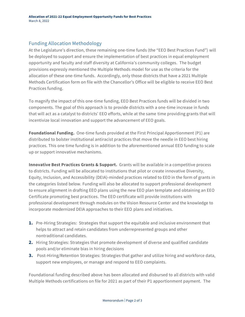## Funding Allocation Methodology

At the Legislature's direction, these remaining one-time funds (the "EEO Best Practices Fund") will be deployed to support and ensure the implementation of best practices in equal employment opportunity and faculty and staff diversity at California's community colleges. The budget provisions expressly mentioned the Multiple Methods model for use as the criteria for the allocation of these one-time funds. Accordingly, only those districts that have a 2021 Multiple Methods Certification form on file with the Chancellor's Office will be eligible to receive EEO Best Practices funding.

To magnify the impact of this one-time funding, EEO Best Practices funds will be divided in two components. The goal of this approach is to provide districts with a one-time increase in funds that will act as a catalyst to districts' EEO efforts, while at the same time providing grants that will incentivize local innovation and support the advancement of EEO goals.

**Foundational Funding.** One-time funds provided at the First Principal Apportionment (P1) are distributed to bolster institutional antiracist practices that move the needle in EEO best hiring practices. This one time funding is in addition to the aforementioned annual EEO funding to scale up or support innovative mechanisms.

**Innovative Best Practices Grants & Support.** Grants will be available in a competitive process to districts. Funding will be allocated to institutions that pilot or create innovative Diversity, Equity, Inclusion, and Accessibility (DEIA)-minded practices related to EEO in the form of grants in the categories listed below. Funding will also be allocated to support professional development to ensure alignment in drafting EEO plans using the new EEO plan template and obtaining an EEO Certificate promoting best practices. The EEO certificate will provide institutions with professional development through modules on the Vision Resource Center and the knowledge to incorporate modernized DEIA approaches to their EEO plans and initiatives.

- **1.** Pre-Hiring Strategies: Strategies that support the equitable and inclusive environment that helps to attract and retain candidates from underrepresented groups and other nontraditional candidates.
- **2.** Hiring Strategies: Strategies that promote development of diverse and qualified candidate pools and/or eliminate bias in hiring decisions
- **3.** Post-Hiring/Retention Strategies: Strategies that gather and utilize hiring and workforce data, support new employees, or manage and respond to EEO complaints.

Foundational funding described above has been allocated and disbursed to all districts with valid Multiple Methods certifications on file for 2021 as part of their P1 apportionment payment. The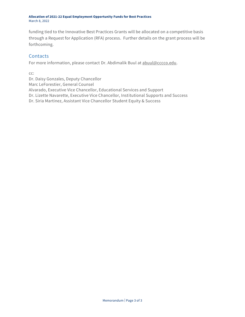**Allocation of 2021-22 Equal Employment Opportunity Funds for Best Practices** March 8, 2022

funding tied to the Innovative Best Practices Grants will be allocated on a competitive basis through a Request for Application (RFA) process. Further details on the grant process will be forthcoming.

## **Contacts**

For more information, please contact Dr. Abdimalik Buul at [abuul@cccco.edu.](mailto:abuul@cccco.edu)

cc:

Dr. Daisy Gonzales, Deputy Chancellor

Marc LeForestier, General Counsel

Alvarado, Executive Vice Chancellor, Educational Services and Support

Dr. Lizette Navarette, Executive Vice Chancellor, Institutional Supports and Success

Dr. Siria Martinez, Assistant Vice Chancellor Student Equity & Success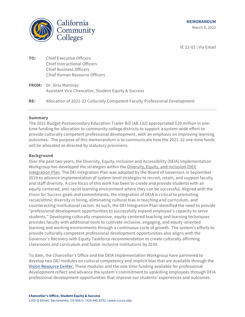

IE 22-03 | Via Email

- **TO:** Chief Executive Officers Chief Instructional Officers Chief Business Officers Chief Human Resource Officers
- **FROM:** Dr. Siria Martinez Assistant Vice Chancellor, Student Equity & Success
- **RE:** Allocation of 2021-22 Culturally Competent Faculty Professional Development

#### **Summary**

The 2021 Budget Postsecondary Education Trailer Bill (AB 132) appropriated \$20 million in onetime funding for allocation to community college districts to support a system-wide effort to provide culturally competent professional development, with an emphasis on improving learning outcomes. The purpose of this memorandum is to communicate how the 2021-22 one-time funds will be allocated as directed by statutory provisions.

#### **Background**

Over the past two years, the Diversity, Equity, Inclusion and Accessibility (DEIA) Implementation Workgroup has developed the strategies within the [Diversity, Equity, and Inclusion \(DEI\)](https://www.cccco.edu/-/media/CCCCO-Website/Files/Communications/vision-for-success/5-dei-integration-plan.pdf?la=en&hash=2402789D82435E8C3E70D3E9E3A8F30F5AB13F1D)  [Integration Plan.](https://www.cccco.edu/-/media/CCCCO-Website/Files/Communications/vision-for-success/5-dei-integration-plan.pdf?la=en&hash=2402789D82435E8C3E70D3E9E3A8F30F5AB13F1D) The DEI Integration Plan was adopted by the Board of Governors in September 2019 to advance implementation of system-level strategies to recruit, retain, and support faculty and staff diversity. A core focus of this work has been to create and provide students with an equity-centered, anti-racist learning environment where they can be successful. Aligned with the *Vision for Success* goals and commitments, the integration of DEIA is critical to promoting racial/ethnic diversity in hiring, eliminating cultural bias in teaching and curriculum, and counteracting institutional racism. As such, the DEI Integration Plan identified the need to provide "professional development opportunities to successfully expand employee's capacity to serve students." Developing culturally responsive, equity-centered teaching and learning techniques provides faculty with additional tools to cultivate inclusive, engaging, and equity-oriented learning and working environments through a continuous cycle of growth. The system's efforts to provide culturally competent professional development opportunities also aligns with the Governor's Recovery with Equity Taskforce recommendation to create culturally affirming classrooms and curriculum and foster inclusive institutions by 2030.

To date, the Chancellor's Office and the DEIA Implementation Workgroup have partnered to develop two DEI modules on cultural competency and implicit bias that are available through the [Vision Resource Center.](file:///C:/Users/elopez/AppData/Local/Microsoft/Windows/INetCache/Content.Outlook/20KRO1VC/visionresourcecenter.cccco.edu/login) These modules and the one-time funding available for professional development reflect and advance the system's commitment to upskilling employees through DEIA professional development opportunities that improve our students' experiences and outcomes .